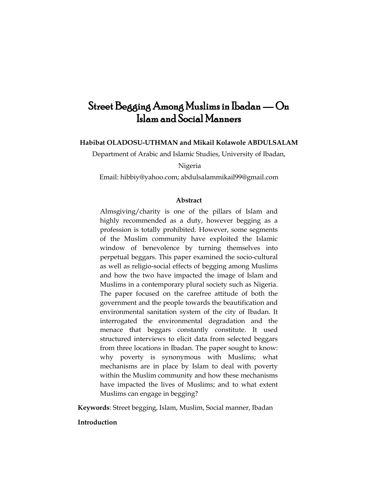# Street Begging Among Muslims in Ibadan — On Islam and Social Manners

## **Habibat OLADOSU-UTHMAN and Mikail Kolawole ABDULSALAM**

Department of Arabic and Islamic Studies, University of Ibadan,

Nigeria

Email: [hibbiy@yahoo.com;](mailto:hibbiy@yahoo.com) [abdulsalammikail99@gmail.com](mailto:abdulsalammikail99@gmail.com)

## **Abstract**

Almsgiving/charity is one of the pillars of Islam and highly recommended as a duty, however begging as a profession is totally prohibited. However, some segments of the Muslim community have exploited the Islamic window of benevolence by turning themselves into perpetual beggars. This paper examined the socio-cultural as well as religio-social effects of begging among Muslims and how the two have impacted the image of Islam and Muslims in a contemporary plural society such as Nigeria. The paper focused on the carefree attitude of both the government and the people towards the beautification and environmental sanitation system of the city of Ibadan. It interrogated the environmental degradation and the menace that beggars constantly constitute. It used structured interviews to elicit data from selected beggars from three locations in Ibadan. The paper sought to know: why poverty is synonymous with Muslims; what mechanisms are in place by Islam to deal with poverty within the Muslim community and how these mechanisms have impacted the lives of Muslims; and to what extent Muslims can engage in begging?

**Keywords**: Street begging, Islam, Muslim, Social manner, Ibadan

#### **Introduction**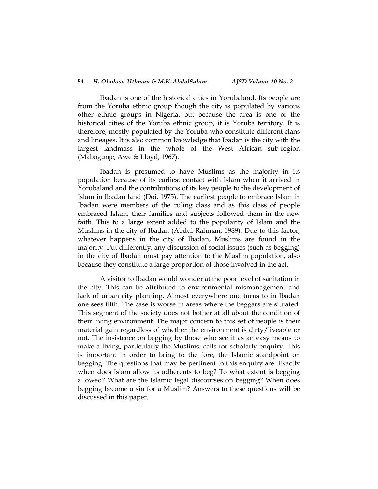#### **54** *H. Oladosu-Uthman & M.K. AbdulSalam AJSD Volume 10 No. 2*

Ibadan is one of the historical cities in Yorubaland. Its people are from the Yoruba ethnic group though the city is populated by various other ethnic groups in Nigeria. but because the area is one of the historical cities of the Yoruba ethnic group, it is Yoruba territory. It is therefore, mostly populated by the Yoruba who constitute different clans and lineages. It is also common knowledge that Ibadan is the city with the largest landmass in the whole of the West African sub-region (Mabogunje, Awe & Lloyd, 1967).

Ibadan is presumed to have Muslims as the majority in its population because of its earliest contact with Islam when it arrived in Yorubaland and the contributions of its key people to the development of Islam in Ibadan land (Doi, 1975). The earliest people to embrace Islam in Ibadan were members of the ruling class and as this class of people embraced Islam, their families and subjects followed them in the new faith. This to a large extent added to the popularity of Islam and the Muslims in the city of Ibadan (Abdul-Rahman, 1989). Due to this factor, whatever happens in the city of Ibadan, Muslims are found in the majority. Put differently, any discussion of social issues (such as begging) in the city of Ibadan must pay attention to the Muslim population, also because they constitute a large proportion of those involved in the act.

A visitor to Ibadan would wonder at the poor level of sanitation in the city. This can be attributed to environmental mismanagement and lack of urban city planning. Almost everywhere one turns to in Ibadan one sees filth. The case is worse in areas where the beggars are situated. This segment of the society does not bother at all about the condition of their living environment. The major concern to this set of people is their material gain regardless of whether the environment is dirty/liveable or not. The insistence on begging by those who see it as an easy means to make a living, particularly the Muslims, calls for scholarly enquiry. This is important in order to bring to the fore, the Islamic standpoint on begging. The questions that may be pertinent to this enquiry are: Exactly when does Islam allow its adherents to beg? To what extent is begging allowed? What are the Islamic legal discourses on begging? When does begging become a sin for a Muslim? Answers to these questions will be discussed in this paper.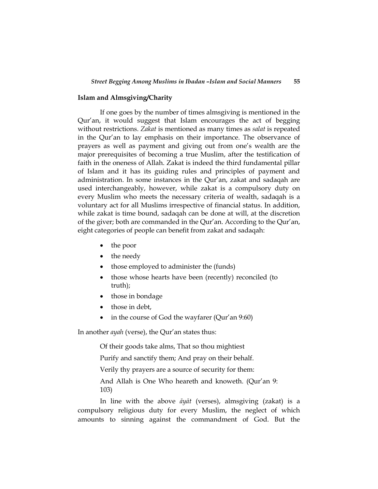### **Islam and Almsgiving/Charity**

If one goes by the number of times almsgiving is mentioned in the Qur"an, it would suggest that Islam encourages the act of begging without restrictions. *Zakat* is mentioned as many times as *salat* is repeated in the Qur'an to lay emphasis on their importance. The observance of prayers as well as payment and giving out from one"s wealth are the major prerequisites of becoming a true Muslim, after the testification of faith in the oneness of Allah. Zakat is indeed the third fundamental pillar of Islam and it has its guiding rules and principles of payment and administration. In some instances in the Qur'an, zakat and sadaqah are used interchangeably, however, while zakat is a compulsory duty on every Muslim who meets the necessary criteria of wealth, sadaqah is a voluntary act for all Muslims irrespective of financial status. In addition, while zakat is time bound, sadaqah can be done at will, at the discretion of the giver; both are commanded in the Qur"an. According to the Qur"an, eight categories of people can benefit from zakat and sadaqah:

- the poor
- the needy
- those employed to administer the (funds)
- those whose hearts have been (recently) reconciled (to truth);
- those in bondage
- those in debt.
- in the course of God the wayfarer (Qur'an 9:60)

In another *ayah* (verse), the Qur"an states thus:

Of their goods take alms, That so thou mightiest

Purify and sanctify them; And pray on their behalf.

Verily thy prayers are a source of security for them:

And Allah is One Who heareth and knoweth. (Qur'an 9: 103)

In line with the above *āyāt* (verses), almsgiving (zakat) is a compulsory religious duty for every Muslim, the neglect of which amounts to sinning against the commandment of God. But the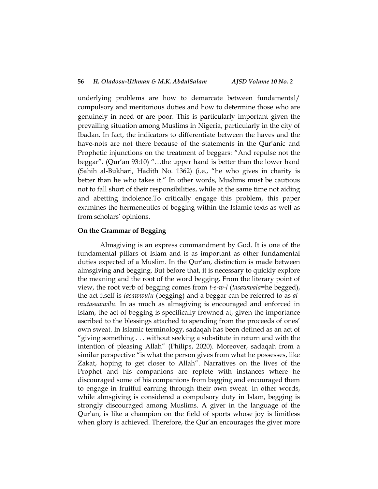underlying problems are how to demarcate between fundamental/ compulsory and meritorious duties and how to determine those who are genuinely in need or are poor. This is particularly important given the prevailing situation among Muslims in Nigeria, particularly in the city of Ibadan. In fact, the indicators to differentiate between the haves and the have-nots are not there because of the statements in the Qur'anic and Prophetic injunctions on the treatment of beggars: "And repulse not the beggar". (Qur'an 93:10) "...the upper hand is better than the lower hand (Sahih al-Bukhari, Hadith No. 1362) (i.e., "he who gives in charity is better than he who takes it." In other words, Muslims must be cautious not to fall short of their responsibilities, while at the same time not aiding and abetting indolence.To critically engage this problem, this paper examines the hermeneutics of begging within the Islamic texts as well as from scholars' opinions.

#### **On the Grammar of Begging**

Almsgiving is an express commandment by God. It is one of the fundamental pillars of Islam and is as important as other fundamental duties expected of a Muslim. In the Qur"an, distinction is made between almsgiving and begging. But before that, it is necessary to quickly explore the meaning and the root of the word begging. From the literary point of view, the root verb of begging comes from *t-s-w-l* (*tasawwala*=he begged), the act itself is *tasawwulu* (begging) and a beggar can be referred to as *almutasawwilu.* In as much as almsgiving is encouraged and enforced in Islam, the act of begging is specifically frowned at, given the importance ascribed to the blessings attached to spending from the proceeds of ones" own sweat. In Islamic terminology, sadaqah has been defined as an act of "giving something . . . without seeking a substitute in return and with the intention of pleasing Allah" (Philips, 2020). Moreover, sadaqah from a similar perspective "is what the person gives from what he possesses, like Zakat, hoping to get closer to Allah". Narratives on the lives of the Prophet and his companions are replete with instances where he discouraged some of his companions from begging and encouraged them to engage in fruitful earning through their own sweat. In other words, while almsgiving is considered a compulsory duty in Islam, begging is strongly discouraged among Muslims. A giver in the language of the Qur"an, is like a champion on the field of sports whose joy is limitless when glory is achieved. Therefore, the Qur'an encourages the giver more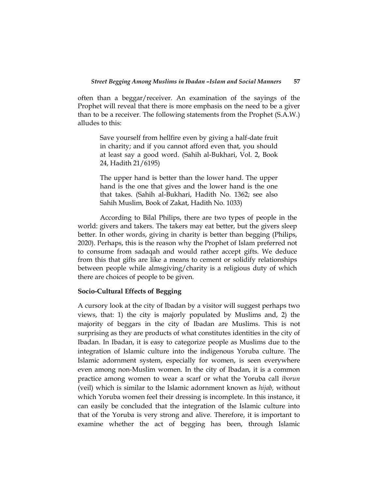often than a beggar/receiver. An examination of the sayings of the Prophet will reveal that there is more emphasis on the need to be a giver than to be a receiver. The following statements from the Prophet (S.A.W.) alludes to this:

Save yourself from hellfire even by giving a half-date fruit in charity; and if you cannot afford even that, you should at least say a good word. (Sahih al-Bukhari, Vol. 2, Book 24, Hadith 21/6195)

The upper hand is better than the lower hand. The upper hand is the one that gives and the lower hand is the one that takes. (Sahih al-Bukhari, Hadith No. 1362; see also Sahih Muslim, Book of Zakat, Hadith No. 1033)

According to Bilal Philips, there are two types of people in the world: givers and takers. The takers may eat better, but the givers sleep better. In other words, giving in charity is better than begging (Philips, 2020). Perhaps, this is the reason why the Prophet of Islam preferred not to consume from sadaqah and would rather accept gifts. We deduce from this that gifts are like a means to cement or solidify relationships between people while almsgiving/charity is a religious duty of which there are choices of people to be given.

#### **Socio-Cultural Effects of Begging**

A cursory look at the city of Ibadan by a visitor will suggest perhaps two views, that: 1) the city is majorly populated by Muslims and, 2) the majority of beggars in the city of Ibadan are Muslims. This is not surprising as they are products of what constitutes identities in the city of Ibadan. In Ibadan, it is easy to categorize people as Muslims due to the integration of Islamic culture into the indigenous Yoruba culture. The Islamic adornment system, especially for women, is seen everywhere even among non-Muslim women. In the city of Ibadan, it is a common practice among women to wear a scarf or what the Yoruba call *iborun* (veil) which is similar to the Islamic adornment known as *hijab,* without which Yoruba women feel their dressing is incomplete. In this instance, it can easily be concluded that the integration of the Islamic culture into that of the Yoruba is very strong and alive. Therefore, it is important to examine whether the act of begging has been, through Islamic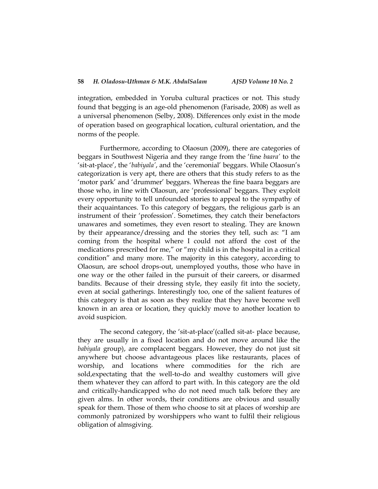integration, embedded in Yoruba cultural practices or not. This study found that begging is an age-old phenomenon (Farisade, 2008) as well as a universal phenomenon (Selby, 2008). Differences only exist in the mode of operation based on geographical location, cultural orientation, and the norms of the people.

Furthermore, according to Olaosun (2009), there are categories of beggars in Southwest Nigeria and they range from the "fine *baara'* to the "sit-at-place", the "*babiyala'*, and the "ceremonial" beggars. While Olaosun"s categorization is very apt, there are others that this study refers to as the 'motor park' and 'drummer' beggars. Whereas the fine baara beggars are those who, in line with Olaosun, are "professional" beggars. They exploit every opportunity to tell unfounded stories to appeal to the sympathy of their acquaintances. To this category of beggars, the religious garb is an instrument of their "profession". Sometimes, they catch their benefactors unawares and sometimes, they even resort to stealing. They are known by their appearance/dressing and the stories they tell, such as: "I am coming from the hospital where I could not afford the cost of the medications prescribed for me," or "my child is in the hospital in a critical condition" and many more. The majority in this category, according to Olaosun, are school drops-out, unemployed youths, those who have in one way or the other failed in the pursuit of their careers, or disarmed bandits. Because of their dressing style, they easily fit into the society, even at social gatherings. Interestingly too, one of the salient features of this category is that as soon as they realize that they have become well known in an area or location, they quickly move to another location to avoid suspicion.

The second category, the 'sit-at-place' (called sit-at- place because, they are usually in a fixed location and do not move around like the *babiyala* group), are complacent beggars. However, they do not just sit anywhere but choose advantageous places like restaurants, places of worship, and locations where commodities for the rich are sold,expectating that the well-to-do and wealthy customers will give them whatever they can afford to part with. In this category are the old and critically-handicapped who do not need much talk before they are given alms. In other words, their conditions are obvious and usually speak for them. Those of them who choose to sit at places of worship are commonly patronized by worshippers who want to fulfil their religious obligation of almsgiving.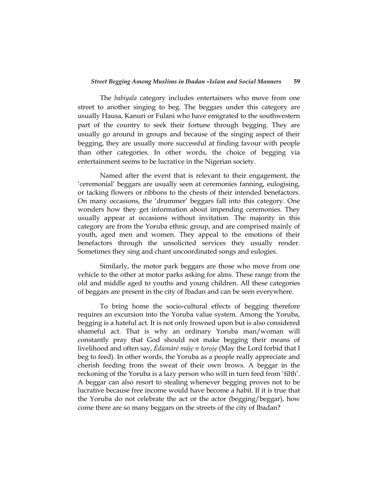#### *Street Begging Among Muslims in Ibadan –Islam and Social Manners* **59**

The *babiyala* category includes entertainers who move from one street to another singing to beg. The beggars under this category are usually Hausa, Kanuri or Fulani who have emigrated to the southwestern part of the country to seek their fortune through begging. They are usually go around in groups and because of the singing aspect of their begging, they are usually more successful at finding favour with people than other categories. In other words, the choice of begging via entertainment seems to be lucrative in the Nigerian society.

Named after the event that is relevant to their engagement, the "ceremonial" beggars are usually seen at ceremonies fanning, eulogising, or tacking flowers or ribbons to the chests of their intended benefactors. On many occasions, the "drummer" beggars fall into this category. One wonders how they get information about impending ceremonies. They usually appear at occasions without invitation. The majority in this category are from the Yoruba ethnic group, and are comprised mainly of youth, aged men and women. They appeal to the emotions of their benefactors through the unsolicited services they usually render. Sometimes they sing and chant uncoordinated songs and eulogies.

Similarly, the motor park beggars are those who move from one vehicle to the other at motor parks asking for alms. These range from the old and middle aged to youths and young children. All these categories of beggars are present in the city of Ibadan and can be seen everywhere.

To bring home the socio-cultural effects of begging therefore requires an excursion into the Yoruba value system. Among the Yoruba, begging is a hateful act. It is not only frowned upon but is also considered shameful act. That is why an ordinary Yoruba man/woman will constantly pray that God should not make begging their means of livelihood and often say, *Ѐdùmàrè májẹ n tọrọjẹ* (May the Lord forbid that I beg to feed). In other words, the Yoruba as a people really appreciate and cherish feeding from the sweat of their own brows. A beggar in the reckoning of the Yoruba is a lazy person who will in turn feed from 'filth'. A beggar can also resort to stealing whenever begging proves not to be lucrative because free income would have become a habit. If it is true that the Yoruba do not celebrate the act or the actor (begging/beggar), how come there are so many beggars on the streets of the city of Ibadan?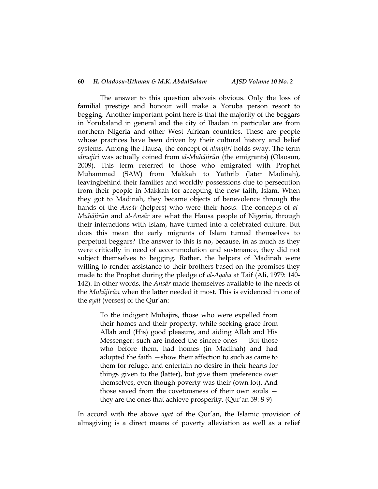#### **60** *H. Oladosu-Uthman & M.K. AbdulSalam AJSD Volume 10 No. 2*

The answer to this question aboveis obvious. Only the loss of familial prestige and honour will make a Yoruba person resort to begging. Another important point here is that the majority of the beggars in Yorubaland in general and the city of Ibadan in particular are from northern Nigeria and other West African countries. These are people whose practices have been driven by their cultural history and belief systems. Among the Hausa, the concept of *almajiri* holds sway. The term *almajiri* was actually coined from *al*-*Muhājirūn* (the emigrants) (Olaosun, 2009). This term referred to those who emigrated with Prophet Muhammad (SAW) from Makkah to Yathrib (later Madinah), leavingbehind their families and worldly possessions due to persecution from their people in Makkah for accepting the new faith, Islam. When they got to Madinah, they became objects of benevolence through the hands of the *Ansār* (helpers) who were their hosts. The concepts of *al*-*Muhājirūn* and *al*-*Ansār* are what the Hausa people of Nigeria, through their interactions with Islam, have turned into a celebrated culture. But does this mean the early migrants of Islam turned themselves to perpetual beggars? The answer to this is no, because, in as much as they were critically in need of accommodation and sustenance, they did not subject themselves to begging. Rather, the helpers of Madinah were willing to render assistance to their brothers based on the promises they made to the Prophet during the pledge of *al*-*Aqaba* at Taif (Ali, 1979: 140- 142). In other words, the *Ansār* made themselves available to the needs of the *Muhājirūn* when the latter needed it most. This is evidenced in one of the *ayat* (verses) of the Qur'an:

To the indigent Muhajirs, those who were expelled from their homes and their property, while seeking grace from Allah and (His) good pleasure, and aiding Allah and His Messenger: such are indeed the sincere ones — But those who before them, had homes (in Madinah) and had adopted the faith —show their affection to such as came to them for refuge, and entertain no desire in their hearts for things given to the (latter), but give them preference over themselves, even though poverty was their (own lot). And those saved from the covetousness of their own souls they are the ones that achieve prosperity. (Qur'an 59: 8-9)

In accord with the above *ayāt* of the Qur"an, the Islamic provision of almsgiving is a direct means of poverty alleviation as well as a relief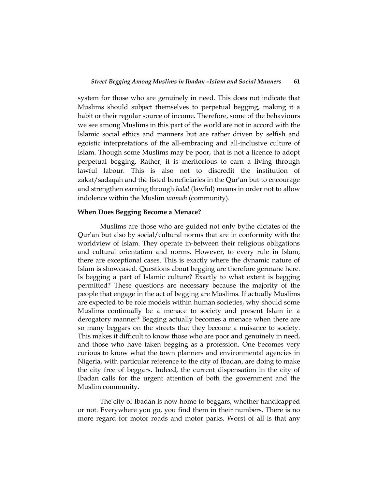system for those who are genuinely in need. This does not indicate that Muslims should subject themselves to perpetual begging, making it a habit or their regular source of income. Therefore, some of the behaviours we see among Muslims in this part of the world are not in accord with the Islamic social ethics and manners but are rather driven by selfish and egoistic interpretations of the all-embracing and all-inclusive culture of Islam. Though some Muslims may be poor, that is not a licence to adopt perpetual begging. Rather, it is meritorious to earn a living through lawful labour. This is also not to discredit the institution of zakat/sadaqah and the listed beneficiaries in the Qur"an but to encourage and strengthen earning through *halal* (lawful) means in order not to allow indolence within the Muslim *ummah* (community).

#### **When Does Begging Become a Menace?**

Muslims are those who are guided not only bythe dictates of the Qur"an but also by social/cultural norms that are in conformity with the worldview of Islam. They operate in-between their religious obligations and cultural orientation and norms. However, to every rule in Islam, there are exceptional cases. This is exactly where the dynamic nature of Islam is showcased. Questions about begging are therefore germane here. Is begging a part of Islamic culture? Exactly to what extent is begging permitted? These questions are necessary because the majority of the people that engage in the act of begging are Muslims. If actually Muslims are expected to be role models within human societies, why should some Muslims continually be a menace to society and present Islam in a derogatory manner? Begging actually becomes a menace when there are so many beggars on the streets that they become a nuisance to society. This makes it difficult to know those who are poor and genuinely in need, and those who have taken begging as a profession. One becomes very curious to know what the town planners and environmental agencies in Nigeria, with particular reference to the city of Ibadan, are doing to make the city free of beggars. Indeed, the current dispensation in the city of Ibadan calls for the urgent attention of both the government and the Muslim community.

The city of Ibadan is now home to beggars, whether handicapped or not. Everywhere you go, you find them in their numbers. There is no more regard for motor roads and motor parks. Worst of all is that any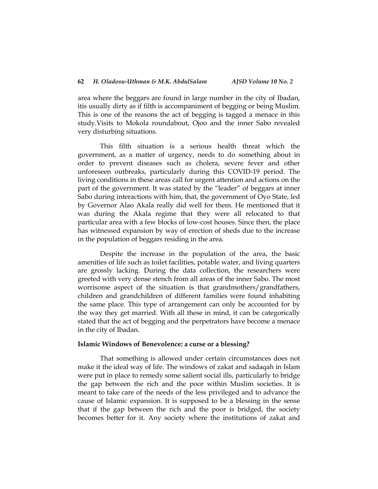area where the beggars are found in large number in the city of Ibadan, itis usually dirty as if filth is accompaniment of begging or being Muslim. This is one of the reasons the act of begging is tagged a menace in this study.Visits to Mokola roundabout, Ojoo and the inner Sabo revealed very disturbing situations.

This filth situation is a serious health threat which the government, as a matter of urgency, needs to do something about in order to prevent diseases such as cholera, severe fever and other unforeseen outbreaks, particularly during this COVID-19 period. The living conditions in these areas call for urgent attention and actions on the part of the government. It was stated by the "leader" of beggars at inner Sabo during interactions with him, that, the government of Oyo State, led by Governor Alao Akala really did well for them. He mentioned that it was during the Akala regime that they were all relocated to that particular area with a few blocks of low-cost houses. Since then, the place has witnessed expansion by way of erection of sheds due to the increase in the population of beggars residing in the area.

Despite the increase in the population of the area, the basic amenities of life such as toilet facilities, potable water, and living quarters are grossly lacking. During the data collection, the researchers were greeted with very dense stench from all areas of the inner Sabo. The most worrisome aspect of the situation is that grandmothers/grandfathers, children and grandchildren of different families were found inhabiting the same place. This type of arrangement can only be accounted for by the way they get married. With all these in mind, it can be categorically stated that the act of begging and the perpetrators have become a menace in the city of Ibadan.

#### **Islamic Windows of Benevolence: a curse or a blessing?**

That something is allowed under certain circumstances does not make it the ideal way of life. The windows of zakat and sadaqah in Islam were put in place to remedy some salient social ills, particularly to bridge the gap between the rich and the poor within Muslim societies. It is meant to take care of the needs of the less privileged and to advance the cause of Islamic expansion. It is supposed to be a blessing in the sense that if the gap between the rich and the poor is bridged, the society becomes better for it. Any society where the institutions of zakat and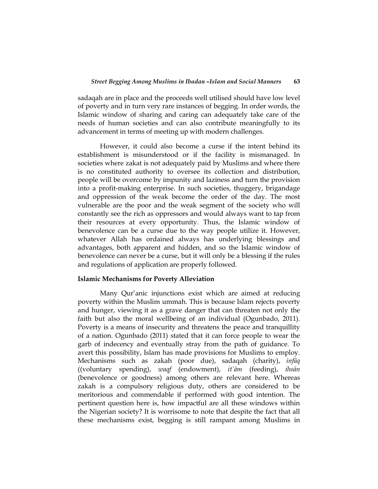sadaqah are in place and the proceeds well utilised should have low level of poverty and in turn very rare instances of begging. In order words, the Islamic window of sharing and caring can adequately take care of the needs of human societies and can also contribute meaningfully to its advancement in terms of meeting up with modern challenges.

However, it could also become a curse if the intent behind its establishment is misunderstood or if the facility is mismanaged. In societies where zakat is not adequately paid by Muslims and where there is no constituted authority to oversee its collection and distribution, people will be overcome by impunity and laziness and turn the provision into a profit-making enterprise. In such societies, thuggery, brigandage and oppression of the weak become the order of the day. The most vulnerable are the poor and the weak segment of the society who will constantly see the rich as oppressors and would always want to tap from their resources at every opportunity. Thus, the Islamic window of benevolence can be a curse due to the way people utilize it. However, whatever Allah has ordained always has underlying blessings and advantages, both apparent and hidden, and so the Islamic window of benevolence can never be a curse, but it will only be a blessing if the rules and regulations of application are properly followed.

### **Islamic Mechanisms for Poverty Alleviation**

Many Qur'anic injunctions exist which are aimed at reducing poverty within the Muslim ummah. This is because Islam rejects poverty and hunger, viewing it as a grave danger that can threaten not only the faith but also the moral wellbeing of an individual (Ogunbado, 2011). Poverty is a means of insecurity and threatens the peace and tranquillity of a nation. Ogunbado (2011) stated that it can force people to wear the garb of indecency and eventually stray from the path of guidance. To avert this possibility, Islam has made provisions for Muslims to employ. Mechanisms such as zakah (poor due), sadaqah (charity), *infāq* ((voluntary spending), *waqf* (endowment), *it'ām* (feeding), *ihsān* (benevolence or goodness) among others are relevant here. Whereas zakah is a compulsory religious duty, others are considered to be meritorious and commendable if performed with good intention. The pertinent question here is, how impactful are all these windows within the Nigerian society? It is worrisome to note that despite the fact that all these mechanisms exist, begging is still rampant among Muslims in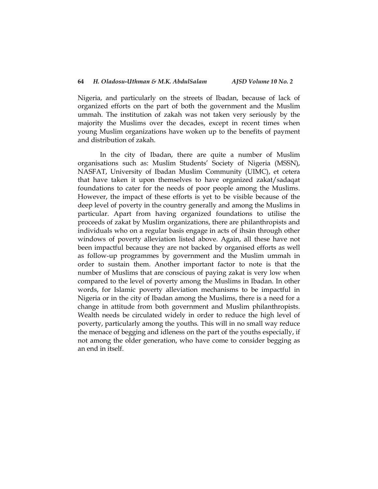Nigeria, and particularly on the streets of Ibadan, because of lack of organized efforts on the part of both the government and the Muslim ummah. The institution of zakah was not taken very seriously by the majority the Muslims over the decades, except in recent times when young Muslim organizations have woken up to the benefits of payment and distribution of zakah.

In the city of Ibadan, there are quite a number of Muslim organisations such as: Muslim Students" Society of Nigeria (MSSN), NASFAT, University of Ibadan Muslim Community (UIMC), et cetera that have taken it upon themselves to have organized zakat/sadaqat foundations to cater for the needs of poor people among the Muslims. However, the impact of these efforts is yet to be visible because of the deep level of poverty in the country generally and among the Muslims in particular. Apart from having organized foundations to utilise the proceeds of zakat by Muslim organizations, there are philanthropists and individuals who on a regular basis engage in acts of ihsān through other windows of poverty alleviation listed above. Again, all these have not been impactful because they are not backed by organised efforts as well as follow-up programmes by government and the Muslim ummah in order to sustain them. Another important factor to note is that the number of Muslims that are conscious of paying zakat is very low when compared to the level of poverty among the Muslims in Ibadan. In other words, for Islamic poverty alleviation mechanisms to be impactful in Nigeria or in the city of Ibadan among the Muslims, there is a need for a change in attitude from both government and Muslim philanthropists. Wealth needs be circulated widely in order to reduce the high level of poverty, particularly among the youths. This will in no small way reduce the menace of begging and idleness on the part of the youths especially, if not among the older generation, who have come to consider begging as an end in itself.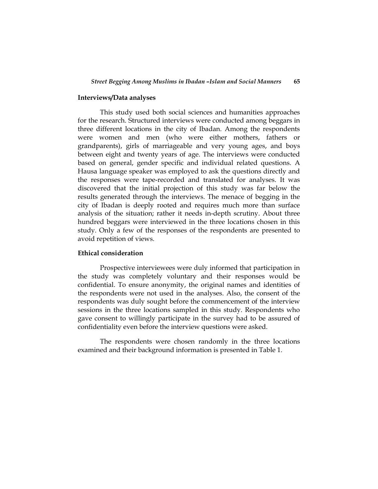#### **Interviews/Data analyses**

This study used both social sciences and humanities approaches for the research. Structured interviews were conducted among beggars in three different locations in the city of Ibadan. Among the respondents were women and men (who were either mothers, fathers or grandparents), girls of marriageable and very young ages, and boys between eight and twenty years of age. The interviews were conducted based on general, gender specific and individual related questions. A Hausa language speaker was employed to ask the questions directly and the responses were tape-recorded and translated for analyses. It was discovered that the initial projection of this study was far below the results generated through the interviews. The menace of begging in the city of Ibadan is deeply rooted and requires much more than surface analysis of the situation; rather it needs in-depth scrutiny. About three hundred beggars were interviewed in the three locations chosen in this study. Only a few of the responses of the respondents are presented to avoid repetition of views.

#### **Ethical consideration**

Prospective interviewees were duly informed that participation in the study was completely voluntary and their responses would be confidential. To ensure anonymity, the original names and identities of the respondents were not used in the analyses. Also, the consent of the respondents was duly sought before the commencement of the interview sessions in the three locations sampled in this study. Respondents who gave consent to willingly participate in the survey had to be assured of confidentiality even before the interview questions were asked.

The respondents were chosen randomly in the three locations examined and their background information is presented in Table 1.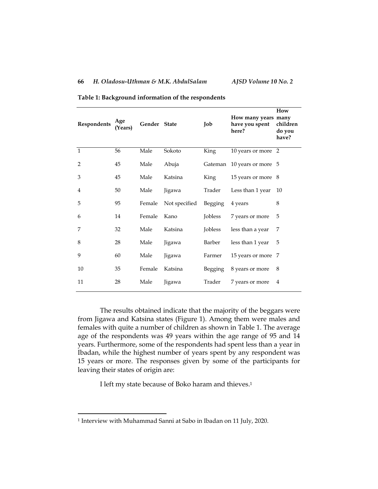| Respondents    | Age<br>(Years) | Gender State |               | Job            | How many years many<br>have you spent<br>here? | How<br>children<br>do you<br>have? |
|----------------|----------------|--------------|---------------|----------------|------------------------------------------------|------------------------------------|
| $\mathbf{1}$   | 56             | Male         | Sokoto        | King           | 10 years or more                               | $\overline{2}$                     |
| $\overline{2}$ | 45             | Male         | Abuja         | Gateman        | 10 years or more 5                             |                                    |
| 3              | 45             | Male         | Katsina       | King           | 15 years or more 8                             |                                    |
| 4              | 50             | Male         | Jigawa        | Trader         | Less than 1 year                               | 10                                 |
| 5              | 95             | Female       | Not specified | Begging        | 4 years                                        | 8                                  |
| 6              | 14             | Female       | Kano          | Jobless        | 7 years or more                                | 5                                  |
| 7              | 32             | Male         | Katsina       | <b>Jobless</b> | less than a year                               | 7                                  |
| 8              | 28             | Male         | Jigawa        | Barber         | less than 1 year                               | 5                                  |
| 9              | 60             | Male         | Jigawa        | Farmer         | 15 years or more                               | 7                                  |
| 10             | 35             | Female       | Katsina       | <b>Begging</b> | 8 years or more                                | 8                                  |
| 11             | 28             | Male         | Jigawa        | Trader         | 7 years or more                                | $\overline{4}$                     |

**Table 1: Background information of the respondents**

The results obtained indicate that the majority of the beggars were from Jigawa and Katsina states (Figure 1). Among them were males and females with quite a number of children as shown in Table 1. The average age of the respondents was 49 years within the age range of 95 and 14 years. Furthermore, some of the respondents had spent less than a year in Ibadan, while the highest number of years spent by any respondent was 15 years or more. The responses given by some of the participants for leaving their states of origin are:

I left my state because of Boko haram and thieves. 1

 $\overline{\phantom{a}}$ 

<sup>1</sup> Interview with Muhammad Sanni at Sabo in Ibadan on 11 July, 2020.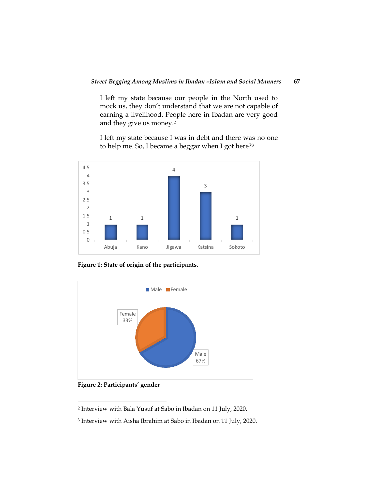I left my state because our people in the North used to mock us, they don"t understand that we are not capable of earning a livelihood. People here in Ibadan are very good and they give us money. 2

I left my state because I was in debt and there was no one to help me. So, I became a beggar when I got here?<sup>3</sup>



**Figure 1: State of origin of the participants.**



**Figure 2: Participants' gender**

l

<sup>2</sup> Interview with Bala Yusuf at Sabo in Ibadan on 11 July, 2020.

<sup>3</sup> Interview with Aisha Ibrahim at Sabo in Ibadan on 11 July, 2020.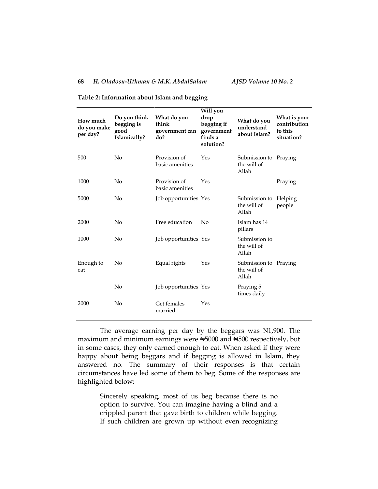## **68** *H. Oladosu-Uthman & M.K. AbdulSalam AJSD Volume 10 No. 2*

| How much<br>do you make<br>per day? | Do you think<br>begging is<br>good<br>Islamically? | What do you<br>think<br>government can<br>do? | Will you<br>drop<br>begging if<br>government<br>finds a<br>solution? | What do you<br>understand<br>about Islam?     | What is your<br>contribution<br>to this<br>situation? |
|-------------------------------------|----------------------------------------------------|-----------------------------------------------|----------------------------------------------------------------------|-----------------------------------------------|-------------------------------------------------------|
| 500                                 | No                                                 | Provision of<br>basic amenities               | Yes                                                                  | Submission to<br>the will of<br>Allah         | Praying                                               |
| 1000                                | No                                                 | Provision of<br>basic amenities               | Yes                                                                  |                                               | Praying                                               |
| 5000                                | No                                                 | Job opportunities Yes                         |                                                                      | Submission to<br>the will of<br>Allah         | Helping<br>people                                     |
| 2000                                | No                                                 | Free education                                | No                                                                   | Islam has 14<br>pillars                       |                                                       |
| 1000                                | No                                                 | Job opportunities Yes                         |                                                                      | Submission to<br>the will of<br>Allah         |                                                       |
| Enough to<br>eat                    | No                                                 | Equal rights                                  | Yes                                                                  | Submission to Praying<br>the will of<br>Allah |                                                       |
|                                     | No                                                 | Job opportunities Yes                         |                                                                      | Praying 5<br>times daily                      |                                                       |
| 2000                                | No                                                 | Get females<br>married                        | Yes                                                                  |                                               |                                                       |

**Table 2: Information about Islam and begging**

The average earning per day by the beggars was N1,900. The maximum and minimum earnings were ₦5000 and ₦500 respectively, but in some cases, they only earned enough to eat. When asked if they were happy about being beggars and if begging is allowed in Islam, they answered no. The summary of their responses is that certain circumstances have led some of them to beg. Some of the responses are highlighted below:

> Sincerely speaking, most of us beg because there is no option to survive. You can imagine having a blind and a crippled parent that gave birth to children while begging. If such children are grown up without even recognizing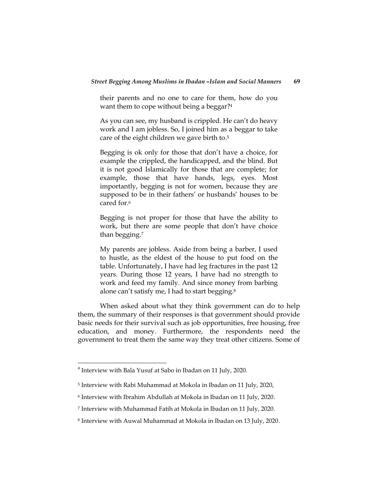their parents and no one to care for them, how do you want them to cope without being a beggar? 4

As you can see, my husband is crippled. He can't do heavy work and I am jobless. So, I joined him as a beggar to take care of the eight children we gave birth to. 5

Begging is ok only for those that don"t have a choice, for example the crippled, the handicapped, and the blind. But it is not good Islamically for those that are complete; for example, those that have hands, legs, eyes. Most importantly, begging is not for women, because they are supposed to be in their fathers' or husbands' houses to be cared for. 6

Begging is not proper for those that have the ability to work, but there are some people that don"t have choice than begging. 7

My parents are jobless. Aside from being a barber, I used to hustle, as the eldest of the house to put food on the table. Unfortunately, I have had leg fractures in the past 12 years. During those 12 years, I have had no strength to work and feed my family. And since money from barbing alone can't satisfy me, I had to start begging.<sup>8</sup>

When asked about what they think government can do to help them, the summary of their responses is that government should provide basic needs for their survival such as job opportunities, free housing, free education, and money. Furthermore, the respondents need the government to treat them the same way they treat other citizens. Some of

 $\overline{\phantom{a}}$ 

<sup>&</sup>lt;sup>4</sup> Interview with Bala Yusuf at Sabo in Ibadan on 11 July, 2020.

<sup>5</sup> Interview with Rabi Muhammad at Mokola in Ibadan on 11 July, 2020,

<sup>6</sup> Interview with Ibrahim Abdullah at Mokola in Ibadan on 11 July, 2020.

<sup>7</sup> Interview with Muhammad Fatih at Mokola in Ibadan on 11 July, 2020.

<sup>8</sup> Interview with Auwal Muhammad at Mokola in Ibadan on 13 July, 2020.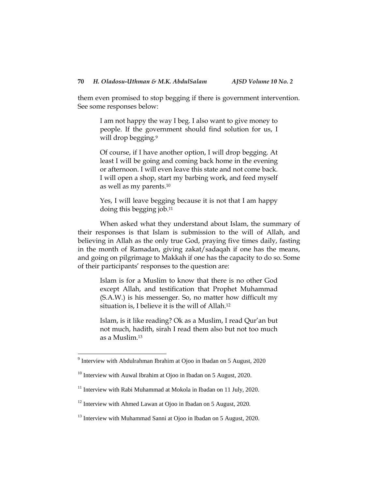them even promised to stop begging if there is government intervention. See some responses below:

> I am not happy the way I beg. I also want to give money to people. If the government should find solution for us, I will drop begging.<sup>9</sup>

> Of course, if I have another option, I will drop begging. At least I will be going and coming back home in the evening or afternoon. I will even leave this state and not come back. I will open a shop, start my barbing work, and feed myself as well as my parents. 10

> Yes, I will leave begging because it is not that I am happy doing this begging job. 11

When asked what they understand about Islam, the summary of their responses is that Islam is submission to the will of Allah, and believing in Allah as the only true God, praying five times daily, fasting in the month of Ramadan, giving zakat/sadaqah if one has the means, and going on pilgrimage to Makkah if one has the capacity to do so. Some of their participants' responses to the question are:

Islam is for a Muslim to know that there is no other God except Allah, and testification that Prophet Muhammad (S.A.W.) is his messenger. So, no matter how difficult my situation is, I believe it is the will of Allah. 12

Islam, is it like reading? Ok as a Muslim, I read Qur"an but not much, hadith, sirah I read them also but not too much as a Muslim. 13

l

<sup>&</sup>lt;sup>9</sup> Interview with Abdulrahman Ibrahim at Ojoo in Ibadan on 5 August, 2020

 $10$  Interview with Auwal Ibrahim at Ojoo in Ibadan on 5 August, 2020.

 $11$  Interview with Rabi Muhammad at Mokola in Ibadan on 11 July, 2020.

<sup>&</sup>lt;sup>12</sup> Interview with Ahmed Lawan at Ojoo in Ibadan on 5 August, 2020.

<sup>&</sup>lt;sup>13</sup> Interview with Muhammad Sanni at Ojoo in Ibadan on 5 August, 2020.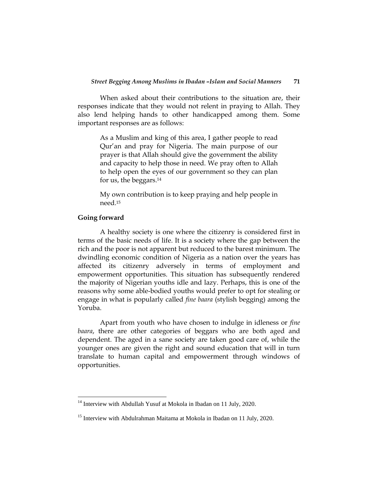When asked about their contributions to the situation are, their responses indicate that they would not relent in praying to Allah. They also lend helping hands to other handicapped among them. Some important responses are as follows:

As a Muslim and king of this area, I gather people to read Qur"an and pray for Nigeria. The main purpose of our prayer is that Allah should give the government the ability and capacity to help those in need. We pray often to Allah to help open the eyes of our government so they can plan for us, the beggars. 14

My own contribution is to keep praying and help people in need.<sup>15</sup>

### **Going forward**

l

A healthy society is one where the citizenry is considered first in terms of the basic needs of life. It is a society where the gap between the rich and the poor is not apparent but reduced to the barest minimum. The dwindling economic condition of Nigeria as a nation over the years has affected its citizenry adversely in terms of employment and empowerment opportunities. This situation has subsequently rendered the majority of Nigerian youths idle and lazy. Perhaps, this is one of the reasons why some able-bodied youths would prefer to opt for stealing or engage in what is popularly called *fine baara* (stylish begging) among the Yoruba.

Apart from youth who have chosen to indulge in idleness or *fine baara*, there are other categories of beggars who are both aged and dependent. The aged in a sane society are taken good care of, while the younger ones are given the right and sound education that will in turn translate to human capital and empowerment through windows of opportunities.

 $14$  Interview with Abdullah Yusuf at Mokola in Ibadan on 11 July, 2020.

<sup>&</sup>lt;sup>15</sup> Interview with Abdulrahman Maitama at Mokola in Ibadan on 11 July, 2020.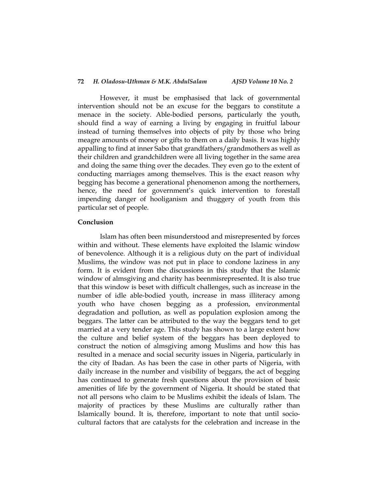### **72** *H. Oladosu-Uthman & M.K. AbdulSalam AJSD Volume 10 No. 2*

However, it must be emphasised that lack of governmental intervention should not be an excuse for the beggars to constitute a menace in the society. Able-bodied persons, particularly the youth, should find a way of earning a living by engaging in fruitful labour instead of turning themselves into objects of pity by those who bring meagre amounts of money or gifts to them on a daily basis. It was highly appalling to find at inner Sabo that grandfathers/grandmothers as well as their children and grandchildren were all living together in the same area and doing the same thing over the decades. They even go to the extent of conducting marriages among themselves. This is the exact reason why begging has become a generational phenomenon among the northerners, hence, the need for government's quick intervention to forestall impending danger of hooliganism and thuggery of youth from this particular set of people.

## **Conclusion**

Islam has often been misunderstood and misrepresented by forces within and without. These elements have exploited the Islamic window of benevolence. Although it is a religious duty on the part of individual Muslims, the window was not put in place to condone laziness in any form. It is evident from the discussions in this study that the Islamic window of almsgiving and charity has beenmisrepresented. It is also true that this window is beset with difficult challenges, such as increase in the number of idle able-bodied youth, increase in mass illiteracy among youth who have chosen begging as a profession, environmental degradation and pollution, as well as population explosion among the beggars. The latter can be attributed to the way the beggars tend to get married at a very tender age. This study has shown to a large extent how the culture and belief system of the beggars has been deployed to construct the notion of almsgiving among Muslims and how this has resulted in a menace and social security issues in Nigeria, particularly in the city of Ibadan. As has been the case in other parts of Nigeria, with daily increase in the number and visibility of beggars, the act of begging has continued to generate fresh questions about the provision of basic amenities of life by the government of Nigeria. It should be stated that not all persons who claim to be Muslims exhibit the ideals of Islam. The majority of practices by these Muslims are culturally rather than Islamically bound. It is, therefore, important to note that until sociocultural factors that are catalysts for the celebration and increase in the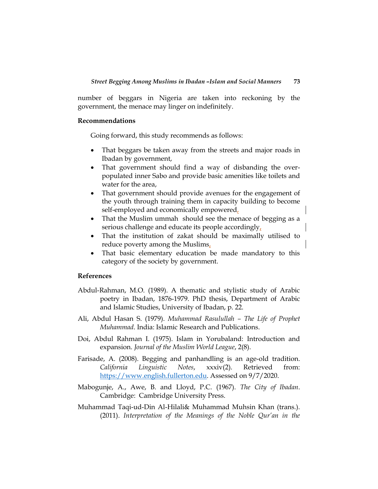number of beggars in Nigeria are taken into reckoning by the government, the menace may linger on indefinitely.

#### **Recommendations**

Going forward, this study recommends as follows:

- That beggars be taken away from the streets and major roads in Ibadan by government,
- That government should find a way of disbanding the overpopulated inner Sabo and provide basic amenities like toilets and water for the area,
- That government should provide avenues for the engagement of the youth through training them in capacity building to become self-employed and economically empowered,
- That the Muslim ummah should see the menace of begging as a serious challenge and educate its people accordingly,
- That the institution of zakat should be maximally utilised to reduce poverty among the Muslims,
- That basic elementary education be made mandatory to this category of the society by government.

## **References**

- Abdul-Rahman, M.O. (1989). A thematic and stylistic study of Arabic poetry in Ibadan, 1876-1979. PhD thesis, Department of Arabic and Islamic Studies, University of Ibadan, p. 22.
- Ali, Abdul Hasan S. (1979). *Muhammad Rasulullah – The Life of Prophet Muhammad*. India: Islamic Research and Publications.
- Doi, Abdul Rahman I. (1975). Islam in Yorubaland: Introduction and expansion. *Journal of the Muslim World League*, 2(8).
- Farisade, A. (2008). Begging and panhandling is an age-old tradition. *California Linguistic Notes*, xxxiv(2). Retrieved from: [https://www.english.fullerton.edu.](https://www.english.fullerton.edu/) Assessed on 9/7/2020.
- Mabogunje, A., Awe, B. and Lloyd, P.C. (1967). *The City of Ibadan*. Cambridge: Cambridge University Press.
- Muhammad Taqi-ud-Din Al-Hilali& Muhammad Muhsin Khan (trans.). (2011). *Interpretation of the Meanings of the Noble Qur'an in the*